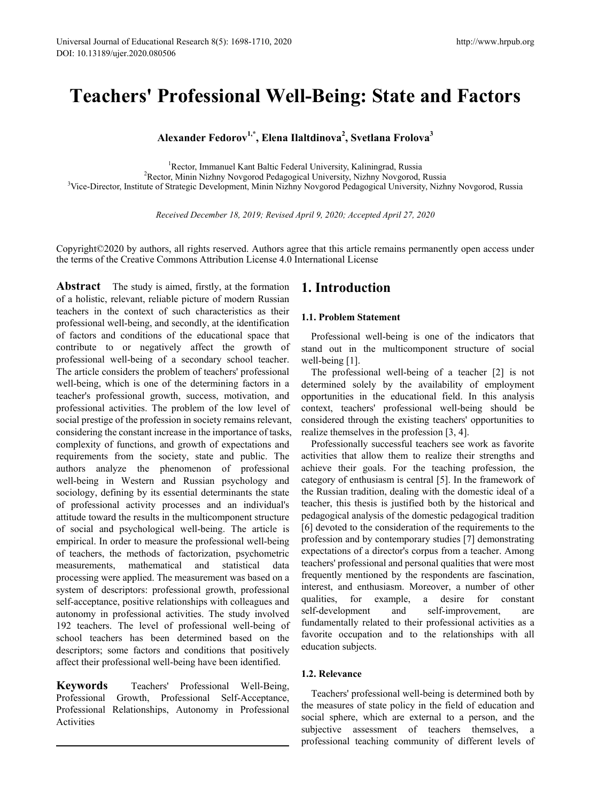# **Teachers' Professional Well-Being: State and Factors**

**Alexander Fedorov1,\*, Elena Ilaltdinova2 , Svetlana Frolova3** 

<sup>1</sup>Rector, Immanuel Kant Baltic Federal University, Kaliningrad, Russia Rector, Immanuel Kant Baltic Federal University, Kaliningrad, Russia<br><sup>2</sup>Rector, Minin Nizhny Novgorod Pedagogical University, Nizhny Novgorod Rector, Minin Nizhny Novgorod Pedagogical University, Nizhny Novgorod, Russia <sup>3</sup> <sup>3</sup>Vice-Director, Institute of Strategic Development, Minin Nizhny Novgorod Pedagogical University, Nizhny Novgorod, Russia

*Received December 18, 2019; Revised April 9, 2020; Accepted April 27, 2020*

Copyright©2020 by authors, all rights reserved. Authors agree that this article remains permanently open access under the terms of the Creative Commons Attribution License 4.0 International License

**Abstract** The study is aimed, firstly, at the formation of a holistic, relevant, reliable picture of modern Russian teachers in the context of such characteristics as their professional well-being, and secondly, at the identification of factors and conditions of the educational space that contribute to or negatively affect the growth of professional well-being of a secondary school teacher. The article considers the problem of teachers' professional well-being, which is one of the determining factors in a teacher's professional growth, success, motivation, and professional activities. The problem of the low level of social prestige of the profession in society remains relevant, considering the constant increase in the importance of tasks, complexity of functions, and growth of expectations and requirements from the society, state and public. The authors analyze the phenomenon of professional well-being in Western and Russian psychology and sociology, defining by its essential determinants the state of professional activity processes and an individual's attitude toward the results in the multicomponent structure of social and psychological well-being. The article is empirical. In order to measure the professional well-being of teachers, the methods of factorization, psychometric measurements, mathematical and statistical data processing were applied. The measurement was based on a system of descriptors: professional growth, professional self-acceptance, positive relationships with colleagues and autonomy in professional activities. The study involved 192 teachers. The level of professional well-being of school teachers has been determined based on the descriptors; some factors and conditions that positively affect their professional well-being have been identified.

**Keywords** Teachers' Professional Well-Being, Professional Growth, Professional Self-Acceptance, Professional Relationships, Autonomy in Professional Activities

# **1. Introduction**

#### **1.1. Problem Statement**

Professional well-being is one of the indicators that stand out in the multicomponent structure of social well-being [1].

The professional well-being of a teacher [2] is not determined solely by the availability of employment opportunities in the educational field. In this analysis context, teachers' professional well-being should be considered through the existing teachers' opportunities to realize themselves in the profession [3, 4].

Professionally successful teachers see work as favorite activities that allow them to realize their strengths and achieve their goals. For the teaching profession, the category of enthusiasm is central [5]. In the framework of the Russian tradition, dealing with the domestic ideal of a teacher, this thesis is justified both by the historical and pedagogical analysis of the domestic pedagogical tradition [6] devoted to the consideration of the requirements to the profession and by contemporary studies [7] demonstrating expectations of a director's corpus from a teacher. Among teachers' professional and personal qualities that were most frequently mentioned by the respondents are fascination, interest, and enthusiasm. Moreover, a number of other qualities, for example, a desire for constant self-development and self-improvement, are fundamentally related to their professional activities as a favorite occupation and to the relationships with all education subjects.

#### **1.2. Relevance**

Teachers' professional well-being is determined both by the measures of state policy in the field of education and social sphere, which are external to a person, and the subjective assessment of teachers themselves, a professional teaching community of different levels of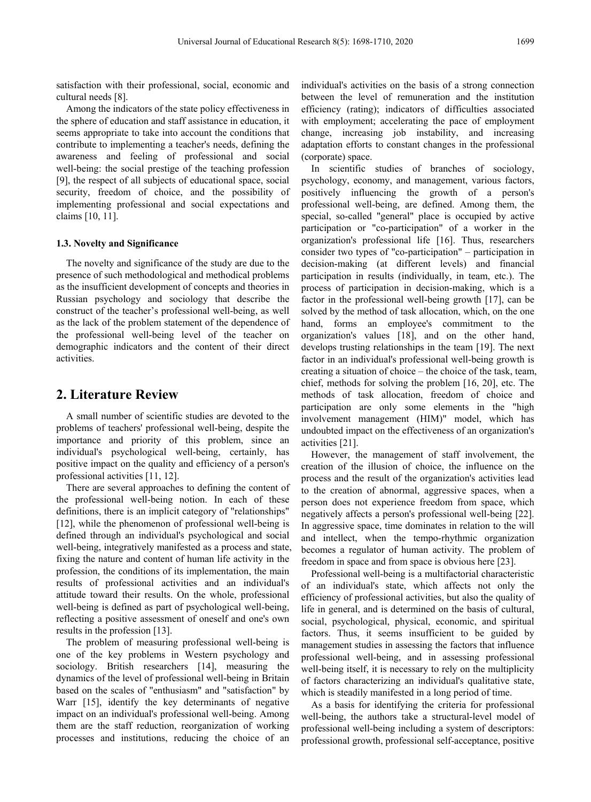satisfaction with their professional, social, economic and cultural needs [8].

Among the indicators of the state policy effectiveness in the sphere of education and staff assistance in education, it seems appropriate to take into account the conditions that contribute to implementing a teacher's needs, defining the awareness and feeling of professional and social well-being: the social prestige of the teaching profession [9], the respect of all subjects of educational space, social security, freedom of choice, and the possibility of implementing professional and social expectations and claims [10, 11].

#### **1.3. Novelty and Significance**

The novelty and significance of the study are due to the presence of such methodological and methodical problems as the insufficient development of concepts and theories in Russian psychology and sociology that describe the construct of the teacher's professional well-being, as well as the lack of the problem statement of the dependence of the professional well-being level of the teacher on demographic indicators and the content of their direct activities.

## **2. Literature Review**

A small number of scientific studies are devoted to the problems of teachers' professional well-being, despite the importance and priority of this problem, since an individual's psychological well-being, certainly, has positive impact on the quality and efficiency of a person's professional activities [11, 12].

There are several approaches to defining the content of the professional well-being notion. In each of these definitions, there is an implicit category of "relationships" [12], while the phenomenon of professional well-being is defined through an individual's psychological and social well-being, integratively manifested as a process and state, fixing the nature and content of human life activity in the profession, the conditions of its implementation, the main results of professional activities and an individual's attitude toward their results. On the whole, professional well-being is defined as part of psychological well-being, reflecting a positive assessment of oneself and one's own results in the profession [13].

The problem of measuring professional well-being is one of the key problems in Western psychology and sociology. British researchers [14], measuring the dynamics of the level of professional well-being in Britain based on the scales of "enthusiasm" and "satisfaction" by Warr [15], identify the key determinants of negative impact on an individual's professional well-being. Among them are the staff reduction, reorganization of working processes and institutions, reducing the choice of an

individual's activities on the basis of a strong connection between the level of remuneration and the institution efficiency (rating); indicators of difficulties associated with employment; accelerating the pace of employment change, increasing job instability, and increasing adaptation efforts to constant changes in the professional (corporate) space.

In scientific studies of branches of sociology, psychology, economy, and management, various factors, positively influencing the growth of a person's professional well-being, are defined. Among them, the special, so-called "general" place is occupied by active participation or "co-participation" of a worker in the organization's professional life [16]. Thus, researchers consider two types of "co-participation" – participation in decision-making (at different levels) and financial participation in results (individually, in team, etc.). The process of participation in decision-making, which is a factor in the professional well-being growth [17], can be solved by the method of task allocation, which, on the one hand, forms an employee's commitment to the organization's values [18], and on the other hand, develops trusting relationships in the team [19]. The next factor in an individual's professional well-being growth is creating a situation of choice – the choice of the task, team, chief, methods for solving the problem [16, 20], etc. The methods of task allocation, freedom of choice and participation are only some elements in the "high involvement management (HIM)" model, which has undoubted impact on the effectiveness of an organization's activities [21].

However, the management of staff involvement, the creation of the illusion of choice, the influence on the process and the result of the organization's activities lead to the creation of abnormal, aggressive spaces, when a person does not experience freedom from space, which negatively affects a person's professional well-being [22]. In aggressive space, time dominates in relation to the will and intellect, when the tempo-rhythmic organization becomes a regulator of human activity. The problem of freedom in space and from space is obvious here [23].

Professional well-being is a multifactorial characteristic of an individual's state, which affects not only the efficiency of professional activities, but also the quality of life in general, and is determined on the basis of cultural, social, psychological, physical, economic, and spiritual factors. Thus, it seems insufficient to be guided by management studies in assessing the factors that influence professional well-being, and in assessing professional well-being itself, it is necessary to rely on the multiplicity of factors characterizing an individual's qualitative state, which is steadily manifested in a long period of time.

As a basis for identifying the criteria for professional well-being, the authors take a structural-level model of professional well-being including a system of descriptors: professional growth, professional self-acceptance, positive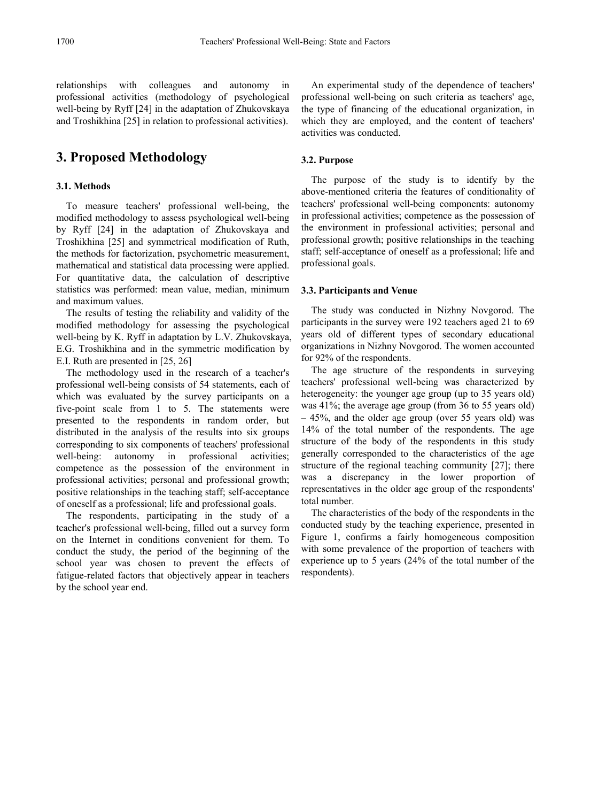relationships with colleagues and autonomy in professional activities (methodology of psychological well-being by Ryff [24] in the adaptation of Zhukovskaya and Troshikhina [25] in relation to professional activities).

# **3. Proposed Methodology**

#### **3.1. Methods**

To measure teachers' professional well-being, the modified methodology to assess psychological well-being by Ryff [24] in the adaptation of Zhukovskaya and Troshikhina [25] and symmetrical modification of Ruth, the methods for factorization, psychometric measurement, mathematical and statistical data processing were applied. For quantitative data, the calculation of descriptive statistics was performed: mean value, median, minimum and maximum values.

The results of testing the reliability and validity of the modified methodology for assessing the psychological well-being by K. Ryff in adaptation by L.V. Zhukovskaya, E.G. Troshikhina and in the symmetric modification by E.I. Ruth are presented in [25, 26]

The methodology used in the research of a teacher's professional well-being consists of 54 statements, each of which was evaluated by the survey participants on a five-point scale from 1 to 5. The statements were presented to the respondents in random order, but distributed in the analysis of the results into six groups corresponding to six components of teachers' professional well-being: autonomy in professional activities; competence as the possession of the environment in professional activities; personal and professional growth; positive relationships in the teaching staff; self-acceptance of oneself as a professional; life and professional goals.

The respondents, participating in the study of a teacher's professional well-being, filled out a survey form on the Internet in conditions convenient for them. To conduct the study, the period of the beginning of the school year was chosen to prevent the effects of fatigue-related factors that objectively appear in teachers by the school year end.

An experimental study of the dependence of teachers' professional well-being on such criteria as teachers' age, the type of financing of the educational organization, in which they are employed, and the content of teachers' activities was conducted.

### **3.2. Purpose**

The purpose of the study is to identify by the above-mentioned criteria the features of conditionality of teachers' professional well-being components: autonomy in professional activities; competence as the possession of the environment in professional activities; personal and professional growth; positive relationships in the teaching staff; self-acceptance of oneself as a professional; life and professional goals.

#### **3.3. Participants and Venue**

The study was conducted in Nizhny Novgorod. The participants in the survey were 192 teachers aged 21 to 69 years old of different types of secondary educational organizations in Nizhny Novgorod. The women accounted for 92% of the respondents.

The age structure of the respondents in surveying teachers' professional well-being was characterized by heterogeneity: the younger age group (up to 35 years old) was 41%; the average age group (from 36 to 55 years old) – 45%, and the older age group (over 55 years old) was 14% of the total number of the respondents. The age structure of the body of the respondents in this study generally corresponded to the characteristics of the age structure of the regional teaching community [27]; there was a discrepancy in the lower proportion of representatives in the older age group of the respondents' total number.

The characteristics of the body of the respondents in the conducted study by the teaching experience, presented in Figure 1, confirms a fairly homogeneous composition with some prevalence of the proportion of teachers with experience up to 5 years (24% of the total number of the respondents).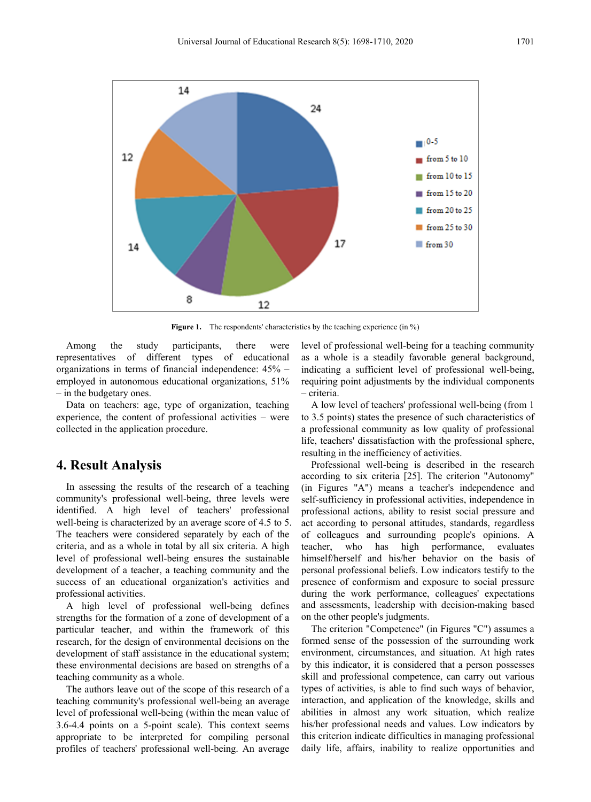

**Figure 1.** The respondents' characteristics by the teaching experience (in %)

Among the study participants, there were representatives of different types of educational organizations in terms of financial independence: 45% – employed in autonomous educational organizations, 51% – in the budgetary ones.

Data on teachers: age, type of organization, teaching experience, the content of professional activities – were collected in the application procedure.

## **4. Result Analysis**

In assessing the results of the research of a teaching community's professional well-being, three levels were identified. A high level of teachers' professional well-being is characterized by an average score of 4.5 to 5. The teachers were considered separately by each of the criteria, and as a whole in total by all six criteria. A high level of professional well-being ensures the sustainable development of a teacher, a teaching community and the success of an educational organization's activities and professional activities.

A high level of professional well-being defines strengths for the formation of a zone of development of a particular teacher, and within the framework of this research, for the design of environmental decisions on the development of staff assistance in the educational system; these environmental decisions are based on strengths of a teaching community as a whole.

The authors leave out of the scope of this research of a teaching community's professional well-being an average level of professional well-being (within the mean value of 3.6-4.4 points on a 5-point scale). This context seems appropriate to be interpreted for compiling personal profiles of teachers' professional well-being. An average

level of professional well-being for a teaching community as a whole is a steadily favorable general background, indicating a sufficient level of professional well-being, requiring point adjustments by the individual components – criteria.

A low level of teachers' professional well-being (from 1 to 3.5 points) states the presence of such characteristics of a professional community as low quality of professional life, teachers' dissatisfaction with the professional sphere, resulting in the inefficiency of activities.

Professional well-being is described in the research according to six criteria [25]. The criterion "Autonomy" (in Figures "A") means a teacher's independence and self-sufficiency in professional activities, independence in professional actions, ability to resist social pressure and act according to personal attitudes, standards, regardless of colleagues and surrounding people's opinions. A teacher, who has high performance, evaluates himself/herself and his/her behavior on the basis of personal professional beliefs. Low indicators testify to the presence of conformism and exposure to social pressure during the work performance, colleagues' expectations and assessments, leadership with decision-making based on the other people's judgments.

The criterion "Competence" (in Figures "C") assumes a formed sense of the possession of the surrounding work environment, circumstances, and situation. At high rates by this indicator, it is considered that a person possesses skill and professional competence, can carry out various types of activities, is able to find such ways of behavior, interaction, and application of the knowledge, skills and abilities in almost any work situation, which realize his/her professional needs and values. Low indicators by this criterion indicate difficulties in managing professional daily life, affairs, inability to realize opportunities and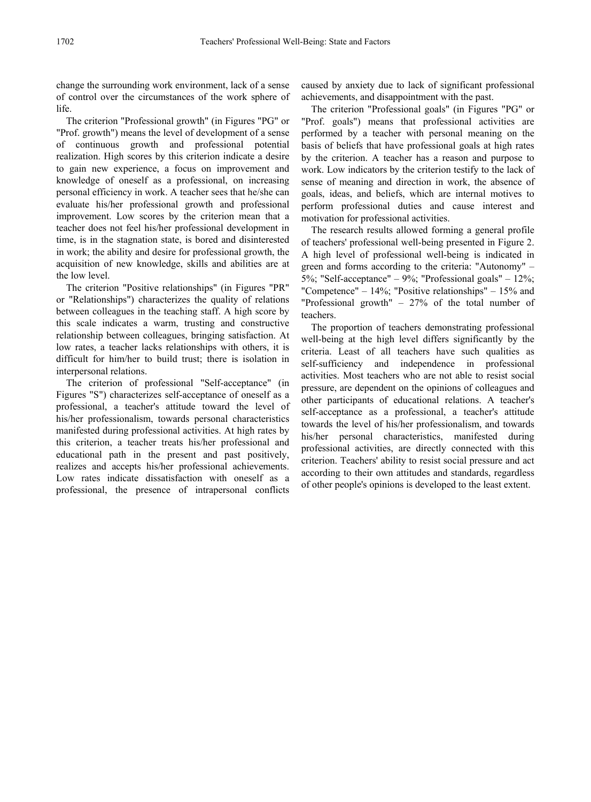change the surrounding work environment, lack of a sense of control over the circumstances of the work sphere of life.

The criterion "Professional growth" (in Figures "PG" or "Prof. growth") means the level of development of a sense of continuous growth and professional potential realization. High scores by this criterion indicate a desire to gain new experience, a focus on improvement and knowledge of oneself as a professional, on increasing personal efficiency in work. A teacher sees that he/she can evaluate his/her professional growth and professional improvement. Low scores by the criterion mean that a teacher does not feel his/her professional development in time, is in the stagnation state, is bored and disinterested in work; the ability and desire for professional growth, the acquisition of new knowledge, skills and abilities are at the low level.

The criterion "Positive relationships" (in Figures "PR" or "Relationships") characterizes the quality of relations between colleagues in the teaching staff. A high score by this scale indicates a warm, trusting and constructive relationship between colleagues, bringing satisfaction. At low rates, a teacher lacks relationships with others, it is difficult for him/her to build trust; there is isolation in interpersonal relations.

The criterion of professional "Self-acceptance" (in Figures "S") characterizes self-acceptance of oneself as a professional, a teacher's attitude toward the level of his/her professionalism, towards personal characteristics manifested during professional activities. At high rates by this criterion, a teacher treats his/her professional and educational path in the present and past positively, realizes and accepts his/her professional achievements. Low rates indicate dissatisfaction with oneself as a professional, the presence of intrapersonal conflicts

caused by anxiety due to lack of significant professional achievements, and disappointment with the past.

The criterion "Professional goals" (in Figures "PG" or "Prof. goals") means that professional activities are performed by a teacher with personal meaning on the basis of beliefs that have professional goals at high rates by the criterion. A teacher has a reason and purpose to work. Low indicators by the criterion testify to the lack of sense of meaning and direction in work, the absence of goals, ideas, and beliefs, which are internal motives to perform professional duties and cause interest and motivation for professional activities.

The research results allowed forming a general profile of teachers' professional well-being presented in Figure 2. A high level of professional well-being is indicated in green and forms according to the criteria: "Autonomy" – 5%; "Self-acceptance" – 9%; "Professional goals" – 12%; "Competence" – 14%; "Positive relationships" – 15% and "Professional growth" – 27% of the total number of teachers.

The proportion of teachers demonstrating professional well-being at the high level differs significantly by the criteria. Least of all teachers have such qualities as self-sufficiency and independence in professional activities. Most teachers who are not able to resist social pressure, are dependent on the opinions of colleagues and other participants of educational relations. A teacher's self-acceptance as a professional, a teacher's attitude towards the level of his/her professionalism, and towards his/her personal characteristics, manifested during professional activities, are directly connected with this criterion. Teachers' ability to resist social pressure and act according to their own attitudes and standards, regardless of other people's opinions is developed to the least extent.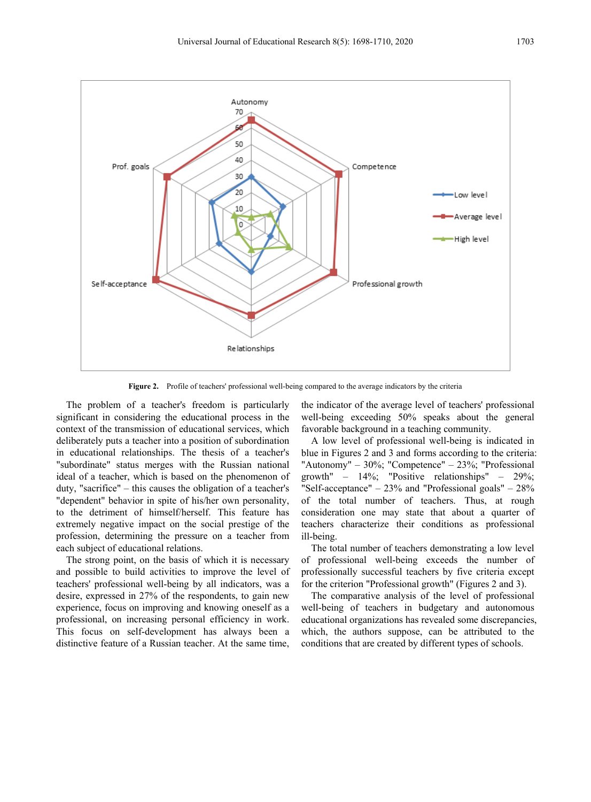

**Figure 2.** Profile of teachers' professional well-being compared to the average indicators by the criteria

The problem of a teacher's freedom is particularly significant in considering the educational process in the context of the transmission of educational services, which deliberately puts a teacher into a position of subordination in educational relationships. The thesis of a teacher's "subordinate" status merges with the Russian national ideal of a teacher, which is based on the phenomenon of duty, "sacrifice" – this causes the obligation of a teacher's "dependent" behavior in spite of his/her own personality, to the detriment of himself/herself. This feature has extremely negative impact on the social prestige of the profession, determining the pressure on a teacher from each subject of educational relations.

The strong point, on the basis of which it is necessary and possible to build activities to improve the level of teachers' professional well-being by all indicators, was a desire, expressed in 27% of the respondents, to gain new experience, focus on improving and knowing oneself as a professional, on increasing personal efficiency in work. This focus on self-development has always been a distinctive feature of a Russian teacher. At the same time,

the indicator of the average level of teachers' professional well-being exceeding 50% speaks about the general favorable background in a teaching community.

A low level of professional well-being is indicated in blue in Figures 2 and 3 and forms according to the criteria: "Autonomy" – 30%; "Competence" – 23%; "Professional growth" – 14%; "Positive relationships" – 29%; "Self-acceptance"  $-23\%$  and "Professional goals"  $-28\%$ of the total number of teachers. Thus, at rough consideration one may state that about a quarter of teachers characterize their conditions as professional ill-being.

The total number of teachers demonstrating a low level of professional well-being exceeds the number of professionally successful teachers by five criteria except for the criterion "Professional growth" (Figures 2 and 3).

The comparative analysis of the level of professional well-being of teachers in budgetary and autonomous educational organizations has revealed some discrepancies, which, the authors suppose, can be attributed to the conditions that are created by different types of schools.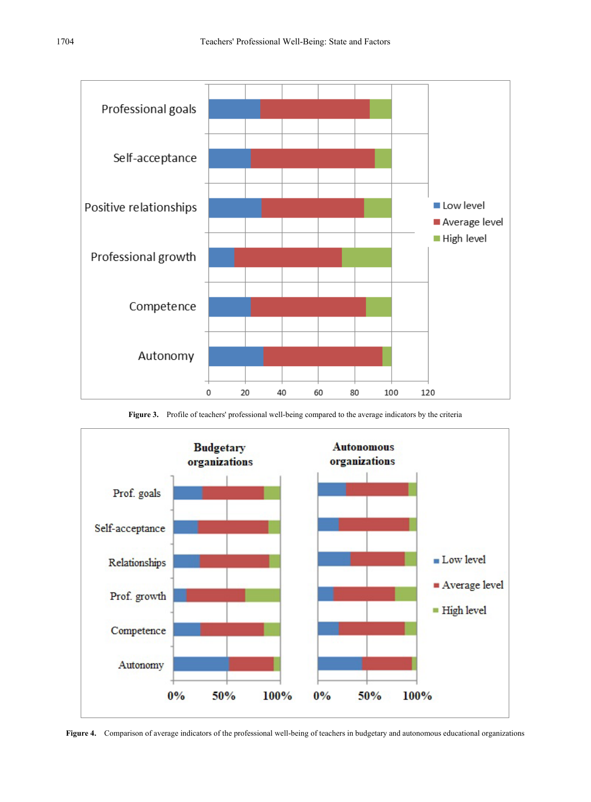

**Figure 3.** Profile of teachers' professional well-being compared to the average indicators by the criteria



**Figure 4.** Comparison of average indicators of the professional well-being of teachers in budgetary and autonomous educational organizations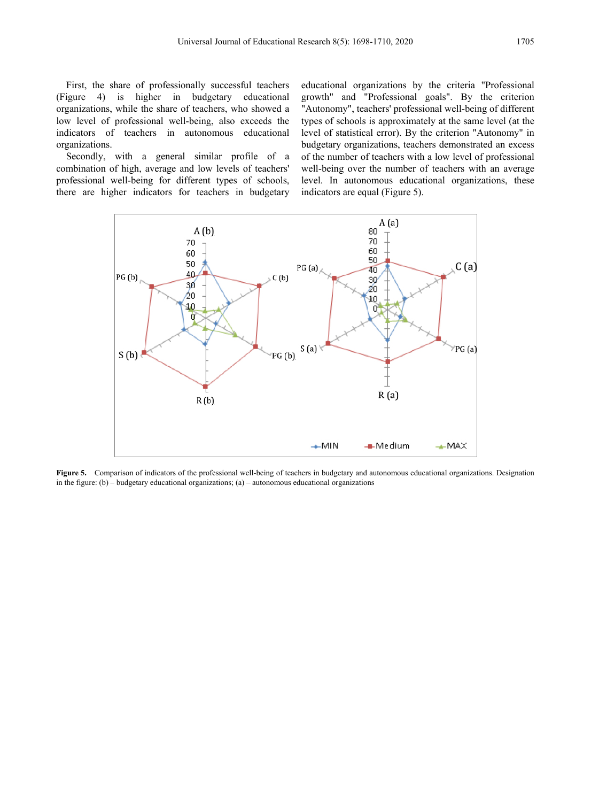First, the share of professionally successful teachers<br>
igure 4) is higher in budgetary educational  $(Figure 4)$  is higher in budgetary organizations, while the share of teachers, who showed a low level of professional well-being, also exceeds the indicators of teachers in autonomous educational organizations.

Secondly, with a general similar profile of a combination of high, average and low levels of teachers' professional well-being for different types of schools, there are higher indicators for teachers in budgetary

educational organizations by the criteria "Professional growth" and "Professional goals". By the criterion "Autonomy", teachers' professional well-being of different types of schools is approximately at the same level (at the level of statistical error). By the criterion "Autonomy" in budgetary organizations, teachers demonstrated an excess of the number of teachers with a low level of professional well-being over the number of teachers with an average level. In autonomous educational organizations, these indicators are equal (Figure 5).



**Figure 5.** Comparison of indicators of the professional well-being of teachers in budgetary and autonomous educational organizations. Designation in the figure:  $(b)$  – budgetary educational organizations;  $(a)$  – autonomous educational organizations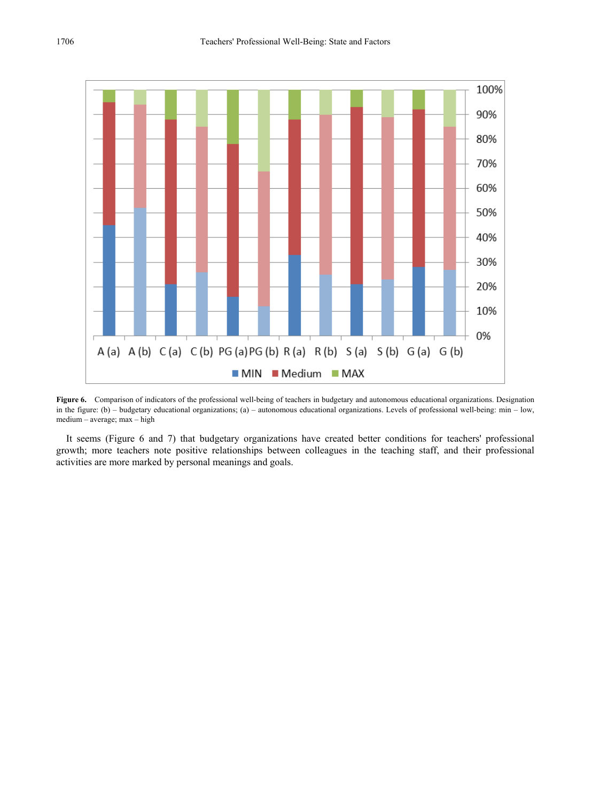

**Figure 6.** Comparison of indicators of the professional well-being of teachers in budgetary and autonomous educational organizations. Designation in the figure: (b) – budgetary educational organizations; (a) – autonomous educational organizations. Levels of professional well-being: min – low, medium – average; max – high

It seems (Figure 6 and 7) that budgetary organizations have created better conditions for teachers' professional growth; more teachers note positive relationships between colleagues in the teaching staff, and their professional activities are more marked by personal meanings and goals.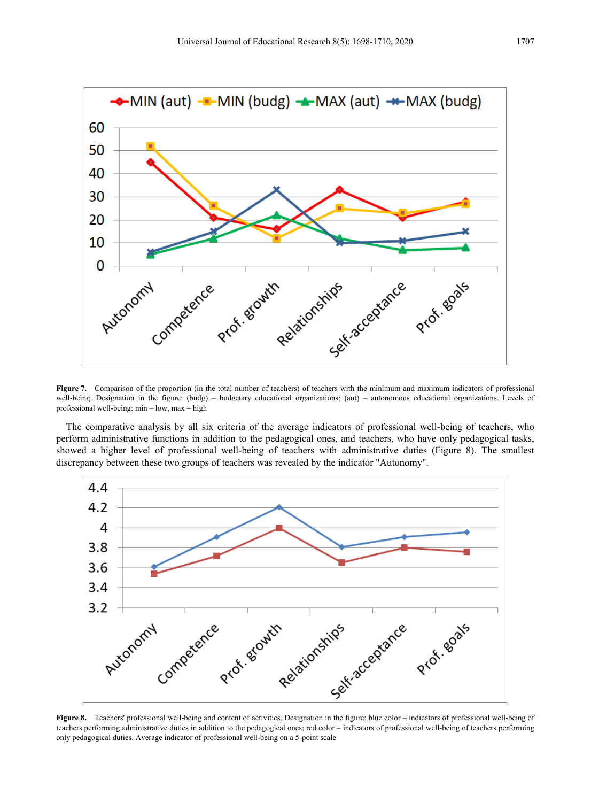

well-being. Designation in the figure: (budg) – budgetary educational organizations; (aut) – autonomous educational organizations. Levels of professional well-being: min – low, max – high

The comparative analysis by all six criteria of the average indicators of professional well-being of teachers, who perform administrative functions in addition to the pedagogical ones, and teachers, who have only pedagogical tasks, showed a higher level of professional well-being of teachers with administrative duties (Figure 8). The smallest discrepancy between these two groups of teachers was revealed by the indicator "Autonomy".



**Figure 8.** Teachers' professional well-being and content of activities. Designation in the figure: blue color – indicators of professional well-being of teachers performing administrative duties in addition to the pedagogical ones; red color – indicators of professional well-being of teachers performing only pedagogical duties. Average indicator of professional well-being on a 5-point scale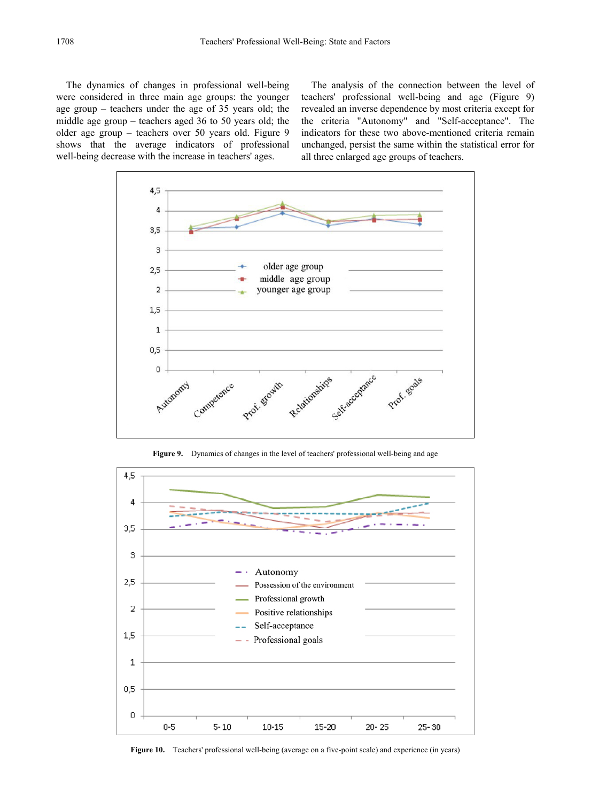The dynamics of changes in professional well-being were considered in three main age groups: the younger age group – teachers under the age of 35 years old; the middle age group – teachers aged 36 to 50 years old; the older age group – teachers over 50 years old. Figure 9 shows that the average indicators of professional well-being decrease with the increase in teachers' ages.

The analysis of the connection between the level of teachers' professional well-being and age (Figure 9) revealed an inverse dependence by most criteria except for the criteria "Autonomy" and "Self-acceptance". The indicators for these two above-mentioned criteria remain unchanged, persist the same within the statistical error for all three enlarged age groups of teachers.



**Figure 9.** Dynamics of changes in the level of teachers' professional well-being and age



**Figure 10.** Teachers' professional well-being (average on a five-point scale) and experience (in years)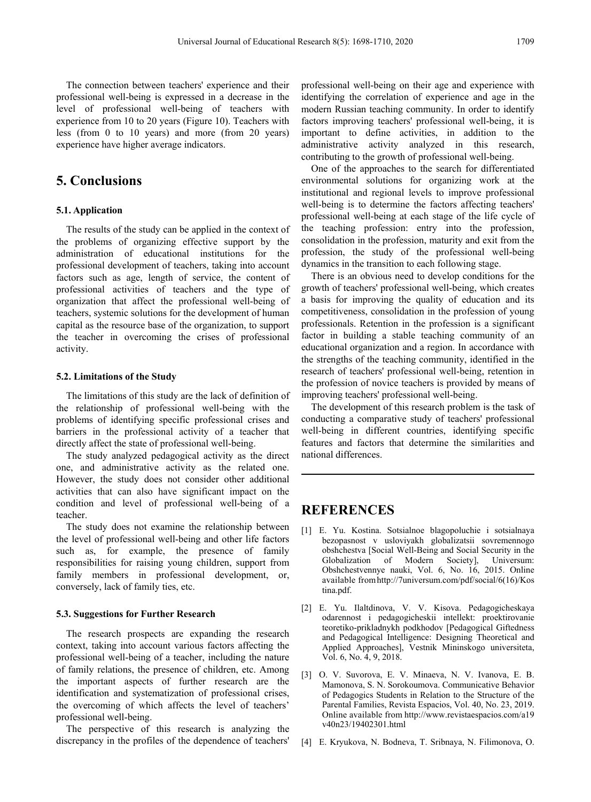The connection between teachers' experience and their professional well-being is expressed in a decrease in the level of professional well-being of teachers with experience from 10 to 20 years (Figure 10). Teachers with less (from 0 to 10 years) and more (from 20 years) experience have higher average indicators.

# **5. Conclusions**

#### **5.1. Application**

The results of the study can be applied in the context of the problems of organizing effective support by the administration of educational institutions for the professional development of teachers, taking into account factors such as age, length of service, the content of professional activities of teachers and the type of organization that affect the professional well-being of teachers, systemic solutions for the development of human capital as the resource base of the organization, to support the teacher in overcoming the crises of professional activity.

#### **5.2. Limitations of the Study**

The limitations of this study are the lack of definition of the relationship of professional well-being with the problems of identifying specific professional crises and barriers in the professional activity of a teacher that directly affect the state of professional well-being.

The study analyzed pedagogical activity as the direct one, and administrative activity as the related one. However, the study does not consider other additional activities that can also have significant impact on the condition and level of professional well-being of a teacher.

The study does not examine the relationship between the level of professional well-being and other life factors such as, for example, the presence of family responsibilities for raising young children, support from family members in professional development, or, conversely, lack of family ties, etc.

#### **5.3. Suggestions for Further Research**

The research prospects are expanding the research context, taking into account various factors affecting the professional well-being of a teacher, including the nature of family relations, the presence of children, etc. Among the important aspects of further research are the identification and systematization of professional crises, the overcoming of which affects the level of teachers' professional well-being.

The perspective of this research is analyzing the discrepancy in the profiles of the dependence of teachers' professional well-being on their age and experience with identifying the correlation of experience and age in the modern Russian teaching community. In order to identify factors improving teachers' professional well-being, it is important to define activities, in addition to the administrative activity analyzed in this research, contributing to the growth of professional well-being.

One of the approaches to the search for differentiated environmental solutions for organizing work at the institutional and regional levels to improve professional well-being is to determine the factors affecting teachers' professional well-being at each stage of the life cycle of the teaching profession: entry into the profession, consolidation in the profession, maturity and exit from the profession, the study of the professional well-being dynamics in the transition to each following stage.

There is an obvious need to develop conditions for the growth of teachers' professional well-being, which creates a basis for improving the quality of education and its competitiveness, consolidation in the profession of young professionals. Retention in the profession is a significant factor in building a stable teaching community of an educational organization and a region. In accordance with the strengths of the teaching community, identified in the research of teachers' professional well-being, retention in the profession of novice teachers is provided by means of improving teachers' professional well-being.

The development of this research problem is the task of conducting a comparative study of teachers' professional well-being in different countries, identifying specific features and factors that determine the similarities and national differences.

## **REFERENCES**

- [1] E. Yu. Kostina. Sotsialnoe blagopoluchie i sotsialnaya bezopasnost v usloviyakh globalizatsii sovremennogo obshchestva [Social Well-Being and Social Security in the Globalization of Modern Society], Universum: Obshchestvennye nauki, Vol. 6, No. 16, 2015. Online available fromhttp://7universum.com/pdf/social/6(16)/Kos tina.pdf.
- [2] E. Yu. Ilaltdinova, V. V. Kisova. Pedagogicheskaya odarennost i pedagogicheskii intellekt: proektirovanie teoretiko-prikladnykh podkhodov [Pedagogical Giftedness and Pedagogical Intelligence: Designing Theoretical and Applied Approaches], Vestnik Mininskogo universiteta, Vol. 6, No. 4, 9, 2018.
- [3] O. V. Suvorova, E. V. Minaeva, N. V. Ivanova, E. B. Mamonova, S. N. Sorokoumova. Communicative Behavior of Pedagogics Students in Relation to the Structure of the Parental Families, Revista Espacios, Vol. 40, No. 23, 2019. Online available from http://www.revistaespacios.com/a19 v40n23/19402301.html
- [4] E. Kryukova, N. Bodneva, T. Sribnaya, N. Filimonova, O.